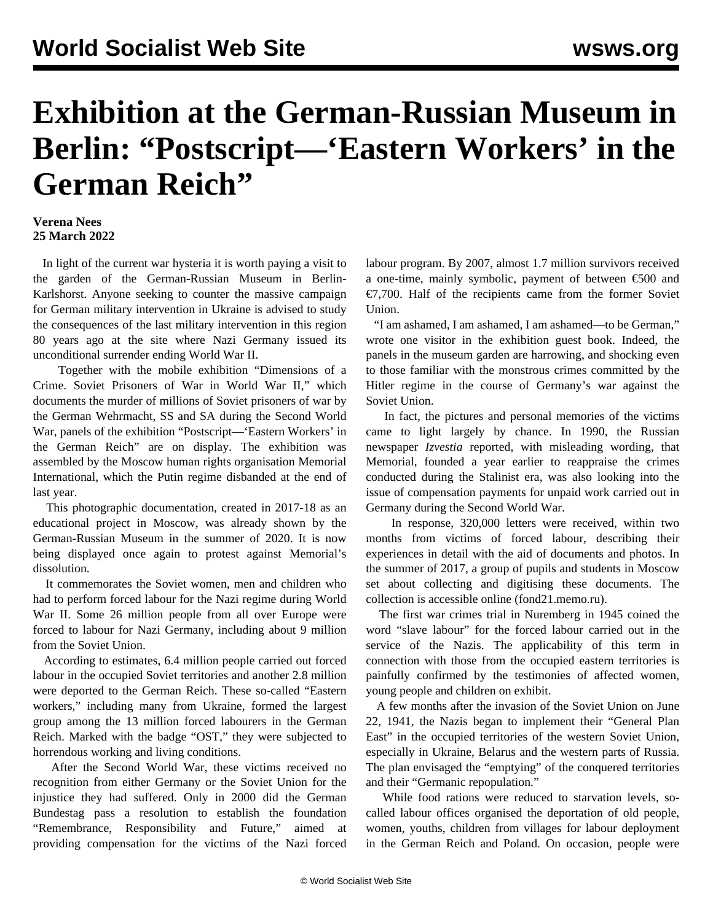## **Exhibition at the German-Russian Museum in Berlin: "Postscript—'Eastern Workers' in the German Reich"**

## **Verena Nees 25 March 2022**

 In light of the current war hysteria it is worth paying a visit to the garden of the German-Russian Museum in Berlin-Karlshorst. Anyone seeking to counter the massive campaign for German military intervention in Ukraine is advised to study the consequences of the last military intervention in this region 80 years ago at the site where Nazi Germany issued its unconditional surrender ending World War II.

 Together with the mobile exhibition ["Dimensions of a](/en/articles/2021/09/21/crim-s21.html) [Crime. Soviet Prisoners of War in World War II,](/en/articles/2021/09/21/crim-s21.html)" which documents the murder of millions of Soviet prisoners of war by the German Wehrmacht, SS and SA during the Second World War, panels of the exhibition "Postscript—'Eastern Workers' in the German Reich" are on display. The exhibition was assembled by the Moscow human rights organisation Memorial International, which the Putin regime disbanded at the end of last year.

 This photographic documentation, created in 2017-18 as an educational project in Moscow, was already shown by the German-Russian Museum in the summer of 2020. It is now being displayed once again to protest against Memorial's dissolution.

 It commemorates the Soviet women, men and children who had to perform forced labour for the Nazi regime during World War II. Some 26 million people from all over Europe were forced to labour for Nazi Germany, including about 9 million from the Soviet Union.

 According to estimates, 6.4 million people carried out forced labour in the occupied Soviet territories and another 2.8 million were deported to the German Reich. These so-called "Eastern workers," including many from Ukraine, formed the largest group among the 13 million forced labourers in the German Reich. Marked with the badge "OST," they were subjected to horrendous working and living conditions.

 After the Second World War, these victims received no recognition from either Germany or the Soviet Union for the injustice they had suffered. Only in 2000 did the German Bundestag pass a resolution to establish the foundation "Remembrance, Responsibility and Future," aimed at providing compensation for the victims of the Nazi forced

labour program. By 2007, almost 1.7 million survivors received a one-time, mainly symbolic, payment of between  $\epsilon$ 500 and €7,700. Half of the recipients came from the former Soviet Union.

 "I am ashamed, I am ashamed, I am ashamed—to be German," wrote one visitor in the exhibition guest book. Indeed, the panels in the museum garden are harrowing, and shocking even to those familiar with the monstrous crimes committed by the Hitler regime in the course of Germany's war against the Soviet Union.

 In fact, the pictures and personal memories of the victims came to light largely by chance. In 1990, the Russian newspaper *Izvestia* reported, with misleading wording, that Memorial, founded a year earlier to reappraise the crimes conducted during the Stalinist era, was also looking into the issue of compensation payments for unpaid work carried out in Germany during the Second World War.

 In response, 320,000 letters were received, within two months from victims of forced labour, describing their experiences in detail with the aid of documents and photos. In the summer of 2017, a group of pupils and students in Moscow set about collecting and digitising these documents. The collection is accessible online ([fond21.memo.ru\)](https://fond21.memo.ru/).

 The first war crimes trial in Nuremberg in 1945 coined the word "slave labour" for the forced labour carried out in the service of the Nazis. The applicability of this term in connection with those from the occupied eastern territories is painfully confirmed by the testimonies of affected women, young people and children on exhibit.

 A few months after the invasion of the Soviet Union on June 22, 1941, the Nazis began to implement their "General Plan East" in the occupied territories of the western Soviet Union, especially in Ukraine, Belarus and the western parts of Russia. The plan envisaged the "emptying" of the conquered territories and their "Germanic repopulation."

 While food rations were reduced to starvation levels, socalled labour offices organised the deportation of old people, women, youths, children from villages for labour deployment in the German Reich and Poland. On occasion, people were